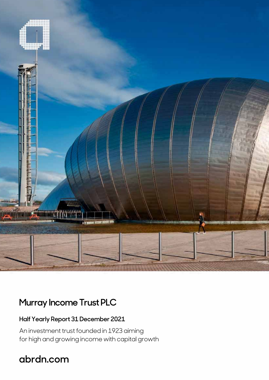

## **Murray Income Trust PLC**

## **Half Yearly Report 31 December 2021**

An investment trust founded in 1923 aiming for high and growing income with capital growth

# **abrdn.com**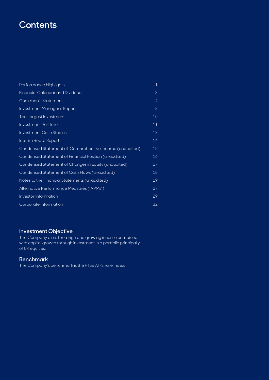## **Contents**

| Performance Highlights                                  | $\mathbf 1$    |
|---------------------------------------------------------|----------------|
| Financial Calendar and Dividends                        | $\mathsf{S}$   |
| Chairman's Statement                                    | $\overline{4}$ |
| Investment Manager's Report                             | 8              |
| Ten Largest Investments                                 | 10             |
| Investment Portfolio                                    | 11             |
| <b>Investment Case Studies</b>                          | 13             |
| Interim Board Report                                    | 14             |
| Condensed Statement of Comprehensive Income (unaudited) | 15             |
| Condensed Statement of Financial Position (unaudited)   | 16             |
| Condensed Statement of Changes in Equity (unaudited)    | 17             |
| Condensed Statement of Cash Flows (unaudited)           | 18             |
| Notes to the Financial Statements (unaudited)           | 19             |
| Alternative Performance Measures ("APMs")               | 27             |
| Investor Information                                    | 29             |
| Corporate Information                                   | 32             |
|                                                         |                |

## **Investment Objective**

The Company aims for a high and growing income combined with capital growth through investment in a portfolio principally of UK equities.

## **Benchmark**

The Company's benchmark is the FTSE All-Share Index.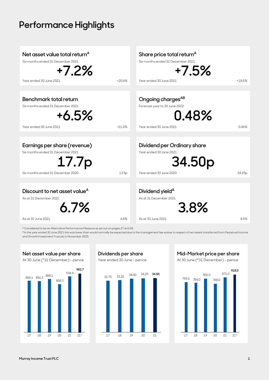## **Performance Highlights**

| Share price total return <sup>A</sup><br>Six months ended 31 December 2021<br>$+7.5%$<br>Year ended 30 June 2021<br>$+18.5%$ |
|------------------------------------------------------------------------------------------------------------------------------|
| Ongoing charges <sup>AB</sup><br>Forecast year to 30 June 2022                                                               |
| 0.48%<br>Year ended 30 June 2021<br>0.46%                                                                                    |
| Dividend per Ordinary share<br>Year ended 30 June 2021                                                                       |
| 34.50p<br>Year ended 30 June 2020<br>34.25 <sub>p</sub>                                                                      |
| Dividend yield <sup>A</sup><br>As at 31 December 2021                                                                        |
| 3.8%<br>As at 30 June 2021<br>4.0%                                                                                           |
| $+20.6%$<br>$+21.4%$<br>13.5p<br>6.8%                                                                                        |

A Considered to be an Alternative Performance Measure as set out on pages 27 and 28.

B In the year ended 30 June 2021 this was lower than would normally be expected due to the management fee waiver in respect of net assets transferred from Perpetual Income and Growth Investment Trust plc in November 2020.





Year ended 30 June – pence At 30 June (\*31 December) – pence

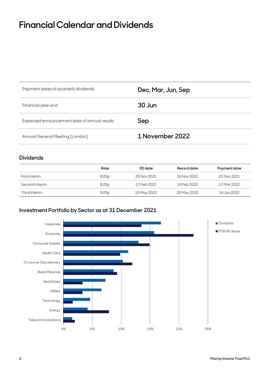## **Financial Calendar and Dividends**

| Payment dates of quarterly dividends         | Dec, Mar, Jun, Sep |
|----------------------------------------------|--------------------|
| Financial year end                           | 30 Jun             |
| Expected announcement date of annual results | Sep                |
| Annual General Meeting (London)              | 1 November 2022    |

## **Dividends**

|                | Rate              | XD date     | Record date | Payment date |
|----------------|-------------------|-------------|-------------|--------------|
| First interim  | 8.25 <sub>p</sub> | 25 Nov 2021 | 26 Nov 2021 | 22 Dec 2021  |
| Second interim | 8.25 <sub>p</sub> | 17 Feb 2022 | 18 Feb 2022 | 17 Mar 2022  |
| Third interim  | 8.25p             | 19 May 2022 | 20 May 2022 | 16 Jun 2022  |

## **Investment Portfolio by Sector as at 31 December 2021**

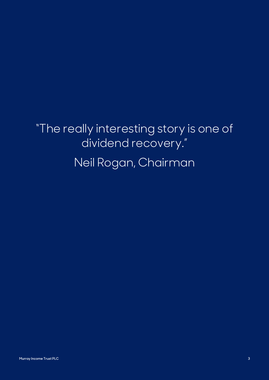# "The really interesting story is one of dividend recovery." Neil Rogan, Chairman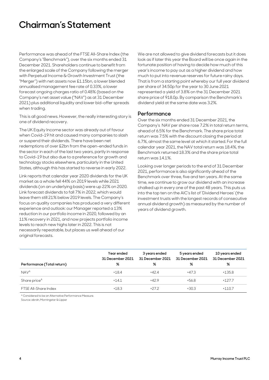## **Chairman's Statement**

Performance was ahead of the FTSE All-Share Index (the Company's "Benchmark"), over the six months ended 31 December 2021. Shareholders continue to benefit from the enlarged scale of the Company following the merger with Perpetual Income & Growth Investment Trust (the "Merger") with net assets now £1.15bn, a lower blended annualised management fee rate of 0.33%, a lower forecast ongoing charges ratio of 0.48% (based on the Company's net asset value ("NAV") as at 31 December 2021) plus additional liquidity and lower bid-offer spreads when trading.

This is all good news. However, the really interesting story is one of dividend recovery.

The UK Equity Income sector was already out of favour when Covid-19 hit and caused many companies to slash or suspend their dividends. There have been net redemptions of over £2bn from the open-ended funds in the sector in each of the last two years, partly in response to Covid-19 but also due to a preference for growth and technology stocks elsewhere, particularly in the United States, although this has started to reverse in early 2022.

Link reports that calendar year 2020 dividends for the UK market as a whole fell 44% on 2019 levels while 2021 dividends (on an underlying basis) were up 22% on 2020. Link forecast dividends to fall 7% in 2022, which would leave them still 21% below 2019 levels. The Company's focus on quality companies has produced a very different experience and outlook: our Manager reported a 13% reduction in our portfolio income in 2020, followed by an 11% recovery in 2021, and now projects portfolio income levels to reach new highs later in 2022. This is not necessarily repeatable, but places us well ahead of our original forecasts.

We are not allowed to give dividend forecasts but it does look as if later this year the Board will be once again in the fortunate position of having to decide how much of this year's income to pay out as a higher dividend and how much to put into revenue reserves for future rainy days. That is from a starting point whereby our full year dividend per share of 34.50p for the year to 30 June 2021 represented a yield of 3.8% on the 31 December 2021 share price of 918.0p. By comparison the Benchmark's dividend yield at the same date was 3.2%.

#### **Performance**

Over the six months ended 31 December 2021, the Company's NAV per share rose 7.2% in total return terms, ahead of 6.5% for the Benchmark. The share price total return was 7.5% with the discount closing the period at 6.7%, almost the same level at which it started. For the full calendar year 2021, the NAV total return was 18.4%, the Benchmark returned 18.3% and the share price total return was 14.1%.

Looking over longer periods to the end of 31 December 2021, performance is also significantly ahead of the Benchmark over three, five and ten years. At the same time, we continue to grow our dividend with an increase chalked up in every one of the past 48 years. This puts us into the top ten on the AIC's list of 'Dividend Heroes' (the investment trusts with the longest records of consecutive annual dividend growth) as measured by the number of years of dividend growth.

| Performance (Total return) | Year ended<br>31 December 2021<br>% | 3 years ended<br>31 December 2021<br>% | 5 years ended<br>31 December 2021<br>% | 10 years ended<br>31 December 2021<br>% |
|----------------------------|-------------------------------------|----------------------------------------|----------------------------------------|-----------------------------------------|
| <b>NAV<sup>A</sup></b>     | $+18.4$                             | $+42.4$                                | $+47.3$                                | $+135.8$                                |
| Share price <sup>A</sup>   | $+14.1$                             | $+429$                                 | $+56.8$                                | $+127.7$                                |
| FTSE All-Share Index       | $+18.3$                             | $+272$                                 | $+30.3$                                | $+1107$                                 |

A Considered to be an Alternative Performance Measure.

Source: abrdn, Morningstar & Lipper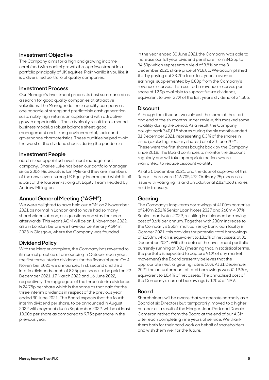### **Investment Objective**

The Company aims for a high and growing income combined with capital growth through investment in a portfolio principally of UK equities. Plain vanilla if you like, it is a diversified portfolio of quality companies.

### **Investment Process**

Our Manager's investment process is best summarised as a search for good quality companies at attractive valuations. The Manager defines a quality company as one capable of strong and predictable cash generation, sustainably high returns on capital and with attractive growth opportunities. These typically result from a sound business model, a robust balance sheet, good management and strong environmental, social and governance characteristics. These qualities helped avoid the worst of the dividend shocks during the pandemic.

#### **Investment People**

abrdn is our appointed investment management company. Charles Luke has been our portfolio manager since 2006. His deputy is Iain Pyle and they are members of the now seven-strong UK Equity Income pod which itself is part of the fourteen-strong UK Equity Team headed by Andrew Millington.

## **Annual General Meeting ("AGM")**

We were delighted to have held our AGM on 2 November 2021 as normal in London and to have had so many shareholders attend, ask questions and stay for lunch afterwards. This year's AGM will be on 1 November 2022, also in London, before we have our centenary AGM in 2023 in Glasgow, where the Company was founded.

### **Dividend Policy**

With the Merger complete, the Company has reverted to its normal practice of announcing in October each year, the first three interim dividends for the financial year. On 4 November 2021 we announced first, second and third interim dividends, each of 8.25p per share, to be paid on 22 December 2021, 17 March 2022 and 16 June 2022, respectively. The aggregate of the three interim dividends is 24.75p per share which is the same as that paid for the three interim dividends in respect of the previous year ended 30 June 2021. The Board expects that the fourth interim dividend per share, to be announced in August 2022 with payment due in September 2022, will be at least 10.00p per share as compared to 9.75p per share in the previous year.

In the year ended 30 June 2021 the Company was able to increase our full year dividend per share from 34.25p to 34.50p which represents a yield of 3.8% on the 31 December 2021 share price of 918.0p. We accomplished this by paying out 33.70p from last year's revenue earnings, supplemented by 0.80p from the Company's revenue reserves. This resulted in revenue reserves per share of 12.9p available to support future dividends, equivalent to over 37% of the last year's dividend of 34.50p.

#### **Discount**

Although the discount was almost the same at the start and end of the six months under review, this masked some volatility during the period. As a result, the Company bought back 340,015 shares during the six months ended 31 December 2021, representing 0.3% of the shares in issue (excluding treasury shares) as at 30 June 2021. These were the first shares bought back by the Company since 2018. The Board continues to monitor the discount regularly and will take appropriate action, where warranted, to reduce discount volatility.

As at 31 December 2021, and the date of approval of this Report, there were 116,705,472 Ordinary 25p shares in issue with voting rights and an additional 2,824,060 shares held in treasury.

### **Gearing**

The Company's long-term borrowings of £100m comprise of £40m 2.51% Senior Loan Notes 2027 and £60m 4.37% Senior Loan Notes 2029, resulting in a blended borrowing cost of 3.6% per annum. Together with £30m increase to the Company's £50m multicurrency bank loan facility in October 2021, this provides for potential total borrowings of £150m, which is equivalent to 13.1% of net assets at 31 December 2021. With the beta of the investment portfolio currently running at 0.91 (meaning that, in statistical terms, the portfolio is expected to capture 91% of any market movement) the Board presently believes that the appropriate neutral gearing rate is 10%. At 31 December 2021 the actual amount of total borrowings was £119.3m, equivalent to 10.4% of net assets. The annualised cost of the Company's current borrowings is 0.20% of NAV.

#### **Board**

Shareholders will be aware that we operate normally as a Board of six Directors but, temporarily, moved to a higher number as a result of the Merger. Jean Park and Donald Cameron retired from the Board at the end of our AGM after each completing nine years of service. We thank them both for their hard work on behalf of shareholders and wish them well for the future.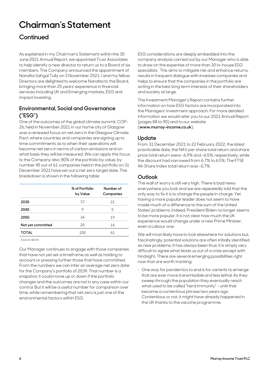## **Chairman's Statement**

## **Continued**

As explained in my Chairman's Statement within the 30 June 2021 Annual Report, we appointed Trust Associates to help identify a new director to return us to a Board of six members. The Company announced the appointment of Nandita Sahgal Tully on 3 November 2021. I and my fellow Directors are delighted to welcome Nandita to the Board, bringing more than 25 years' experience in financial services including UK and Emerging markets, ESG and impact investing.

## **Environmental, Social and Governance ("ESG")**

One of the outcomes of the global climate summit, COP-26, held in November 2021 in our home city of Glasgow was a renewed focus on net zero in the Glasgow Climate Pact: where countries and companies are signing up to time commitments as to when their operations will become net zero in terms of carbon emissions and on what basis they will be measured. We can apply this focus to the Company also: 80% of the portfolio by value, by number 45 out of 61 companies held in the portfolio on 31 December 2021 have set out a net zero target date. The breakdown is shown in the following table:

|                   | % of Portfolio<br>by Value | Number of<br>Companies |
|-------------------|----------------------------|------------------------|
| 2030              | 37                         | 21                     |
| 2040              | 9                          | 5                      |
| 2050              | 34                         | 19                     |
| Not yet committed | 20                         | 16                     |
| <b>TOTAL</b>      | 100                        | 61                     |

Source: abrdn

Our Manager continues to engage with those companies that have not yet set a timeframe as well as holding to account or pressing further those that have committed. From the numbers we can infer an average net zero date for the Company's portfolio of 2039. That number is a snapshot, it could move up or down if the portfolio changes and the outcomes are not in any case within our control. But it will be a useful number for comparison over time, while remembering that net zero is just one of the environmental factors within ESG.

ESG considerations are deeply embedded into the company analysis carried out by our Manager who is able to draw on the expertise of more than 30 in-house ESG specialists. This aims to mitigate risk and enhance returns, results in frequent dialogue with investee companies and helps to ensure that the companies in the portfolio are acting in the best long term interests of their shareholders and society at large.

The Investment Manager's Report contains further information on how ESG factors are incorporated into the Managers' investment approach.For more detailed information we would refer you to our 2021 Annual Report (pages 88 to 90) and to our website (**www.murray-income.co.uk**).

## **Update**

From 31 December 2021 to 22 February 2022, the latest practicable date, the NAV per share total return and share price total return were -6.9% and -6.5%, respectively, while the discount had narrowed from 6.7% to 6.5%. The FTSE All-Share Index total return was -0.7%.

## **Outlook**

The wall of worry is still very high. There is bad news everywhere you look and we are repeatedly told that the only way to fix it is to change the people in charge. Yet having a more popular leader does not seem to have made much of a difference to the sum of the United States' problems. Indeed, President Biden no longer seems to be more popular. It is not clear how much the UK experience would change under a new Prime Minister, even a Labour one.

We will most likely have to look elsewhere for solutions but, fascinatingly, potential solutions are often initially identified as new problems. It has always been thus: it is simply very difficult to agree what leads us out of a crisis except with hindsight. There are several emerging possibilities right now that are worth tracking:

· One way for pandemics to end is for variants to emerge that are ever more transmissible and less lethal. As they sweep through the population they eventually reach what used to be called "herd immunity" - until that became a contentious phrase two years ago. Contentious or not, it might have already happened in the UK thanks to the vaccine programme.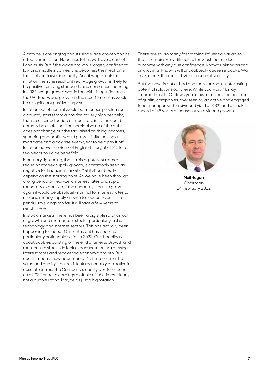- · Alarm bells are ringing about rising wage growth and its effects on inflation. Headlines tell us we have a cost of living crisis. But if the wage growth is largely confined to low and middle incomes, this becomes the mechanism that delivers lower inequality. And if wages outstrip inflation then the resultant real wage growth is likely to be positive for living standards and consumer spending. In 2021, wage growth was in line with rising inflation in the UK. Real wage growth in the next 12 months would be a significant positive surprise.
- · Inflation out of control would be a serious problem but if a country starts from a position of very high net debt, then a sustained period of moderate inflation could actually be a solution: The nominal value of the debt does not change but the tax raised on rising incomes, spending and profits would grow. It is like having a mortgage and a pay rise every year to help pay it off. Inflation above the Bank of England's target of 2% for a few years could be beneficial.
- · Monetary tightening, that is raising interest rates or reducing money supply growth, is commonly seen as negative for financial markets. Yet it should really depend on the starting point. As we have been through a long period of near-zero interest rates and rapid monetary expansion, if the economy starts to grow again it would be absolutely normal for interest rates to rise and money supply growth to reduce. Even if the pendulum swings too far, it will take a few years to reach there.
- · In stock markets, there has been a big style rotation out of growth and momentum stocks, particularly in the technology and internet sectors. This has actually been happening for about 15 months but has become particularly noticeable so far in 2022. Cue headlines about bubbles bursting or the end of an era. Growth and momentum stocks do look expensive in an era of rising interest rates and recovering economic growth. But does it mean a new bear market? It is interesting that value and quality stocks still look reasonably attractive in absolute terms. The Company's quality portfolio stands on a 2022 price to earnings multiple of 16x times, clearly not a bubble rating. Maybe it's just a big rotation.

There are still so many fast moving influential variables that it remains very difficult to forecast the residual outcome with any true confidence. Known unknowns and unknown unknowns will undoubtedly cause setbacks. War in Ukraine is the most obvious source of volatility.

But the news is not all bad and there are some interesting potential solutions out there. While you wait, Murray Income Trust PLC allows you to own a diversified portfolio of quality companies, overseen by an active and engaged fund manager, with a dividend yield of 3.8% and a track record of 48 years of consecutive dividend growth.



**Neil Rogan** Chairman 24 February 2022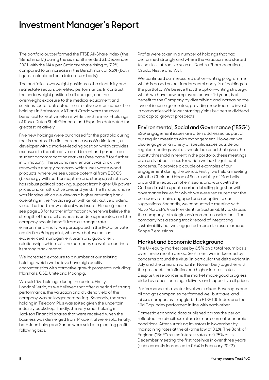## **Investment Manager's Report**

The portfolio outperformed the FTSE All-Share Index (the "Benchmark") during the six months ended 31 December 2021 with the NAV per Ordinary share rising by 7.2% compared to an increase in the Benchmark of 6.5% (both figures calculated on a total return basis).

The portfolio's overweight positions in the electricity and real estate sectors benefited performance. In contrast, the underweight position in oil and gas, and the overweight exposure to the medical equipment and services sector detracted from relative performance. The holdings in Safestore, VAT and Croda were the most beneficial to relative returns while the three non-holdings of Royal Dutch Shell, Glencore and Experian detracted the greatest, relatively.

Five new holdings were purchased for the portfolio during the six months. The first purchase was Watkin Jones, a developer with a market-leading position which provides exposure to the attractive build to rent and purpose built student accommodation markets (see page 8 for further information). The second new entrant was Drax, the renewable energy company which uses waste wood products, where we see upside potential from BECCS (bioenergy with carbon capture and storage) which now has robust political backing, support from higher UK power prices and an attractive dividend yield. The third purchase was Nordea which we view as a higher returning bank operating in the Nordic region with an attractive dividend yield. The fourth new entrant was insurer Hiscox (please see page 13 for further information) where we believe the strength of the retail business is underappreciated and the company should benefit from a stronger rate environment. Finally, we participated in the IPO of private equity firm Bridgepoint, which we believe has an experienced management team and good client relationships which sets the company up well to continue its strong track record.

We increased exposure to a number of our existing holdings which we believe have high quality characteristics with attractive growth prospects including: Marshalls, OSB, Unite and Moonpig.

We sold five holdings during the period. Firstly, LondonMetric, as we believed that after a period of strong performance, the valuation and dividend yield of the company was no longer compelling. Secondly, the small holding in Telecom Plus was exited given the uncertain industry backdrop. Thirdly, the very small holding in Jackson Financial shares that were received when the business was demerged from Prudential were sold. Finally, both John Laing and Sanne were sold at a pleasing profit following bids.

Profits were taken in a number of holdings that had performed strongly and where the valuation had started to look less attractive such as Dechra Pharmaceuticals, Croda, Nestle and VAT.

We continued our measured option-writing programme which is based on our fundamental analysis of holdings in the portfolio. We believe that the option-writing strategy, which we have now employed for over 10 years, is of benefit to the Company by diversifying and increasing the level of income generated, providing headroom to invest in companies with lower starting yields but better dividend and capital growth prospects.

## **Environmental, Social and Governance ("ESG")**

ESG engagement issues are often addressed as part of our regular meetings with management. However, we also engage on a variety of specific issues outside our regular meetings cycle. It should be noted that given the quality threshold inherent in the portfolio, these meetings are rarely about issues for which we hold significant concerns. To provide a couple of examples of our engagement during the period. Firstly, we held a meeting with the Chair and Head of Sustainability of Marshalls around the reduction of emissions and work with the Carbon Trust to update carbon labelling together with governance issues for which we were reassured that the company remains engaged and receptive to our suggestions. Secondly, we conducted a meeting with Novo Nordisk's Vice President for Sustainability to discuss the company's strategic environmental aspirations. The company has a strong track record of integrating sustainability but we suggested more disclosure around Scope 3 emissions.

### **Market and Economic Background**

The UK equity market rose by 6.5% on a total return basis over the six month period. Sentiment was influenced by concerns around the virus (in particular the delta variant in July and the omicron variant in November) together with the prospects for inflation and higher interest rates. Despite these concerns the market made good progress aided by robust earnings delivery and supportive oil prices.

Performance at a sector level was mixed. Beverages and oil and gas companies performed well but travel and leisure companies struggled. The FTSE100 Index and the Mid Cap Index performed in line with each other.

Domestic economic data published across the period reflected the circuitous return to more normal economic conditions. After surprising investors in November by maintaining rates at the all-time low of 0.1%, The Bank of England ("BoE") raised interest rates to 0.25% at its December meeting, the first rate hike in over three years (subsequently increased to 0.5% in February 2022).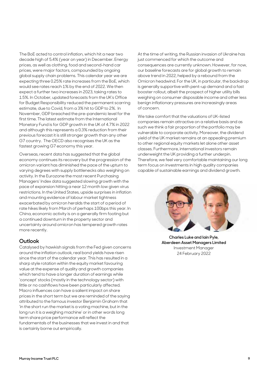The BoE acted to control inflation, which hit a near two decade high of 5.4% (year on year) in December. Energy prices, as well as clothing, food and second-hand car prices, were major factors, compounded by ongoing global supply chain problems. This calendar year we are expecting three 0.25% rate increases from the BoE, which would see rates reach 1% by the end of 2022. We then expect a further two increases in 2023, taking rates to 1.5%. In October, updated forecasts from the UK's Office for Budget Responsibility reduced the permanent scarring estimate, due to Covid, from a 3% hit to GDP to 2%. In November, GDP breached the pre-pandemic level for the first time. The latest estimate from the International Monetary Fund is for GDP growth in the UK of 4.7% in 2022 and although this represents a 0.3% reduction from their previous forecast it is still stronger growth than any other G7 country. The OECD also recognises the UK as the fastest growing G7 economy this year.

Overseas, recent data has suggested that the global economy continues its recovery but the progression of the omicron variant has diminished the pace of the upturn to varying degrees with supply bottlenecks also weighing on activity. In the Eurozone the most recent Purchasing Managers' Index data suggested slowing growth with the pace of expansion hitting a near 12 month low given virus restrictions. In the United States, upside surprises in inflation and mounting evidence of labour market tightness exacerbated by omicron heralds the start of a period of rate hikes likely from March of perhaps 100bps this year. In China, economic activity is on a generally firm footing but a continued downturn in the property sector and uncertainty around omicron has tempered growth rates more recently.

#### **Outlook**

Catalysed by hawkish signals from the Fed given concerns around the inflation outlook, real bond yields have risen since the start of the calendar year. This has resulted in a sharp style rotation within the equity market favouring value at the expense of quality and growth companies which tend to have a longer duration of earnings while 'concept' stocks (mostly in the technology sector) with little or no cashflows have been particularly affected. Macro influences can have a salient impact on share prices in the short term but we are reminded of the saying attributed to the famous investor Benjamin Graham that 'in the short run the market is a voting machine, but in the long run it is a weighing machine' or in other words long term share price performance will reflect the fundamentals of the businesses that we invest in and that is certainly borne out empirically.

At the time of writing, the Russian invasion of Ukraine has just commenced for which the outcome and consequences are currently unknown. However, for now, our baseline forecasts are for global growth to remain above trend in 2022, helped by a rebound from the Omicron headwind. For the UK, in particular, the backdrop is generally supportive with pent-up demand and a fast booster rollout, albeit the prospect of higher utility bills weighing on consumer disposable income and other less benign inflationary pressures are increasingly areas of concern.

We take comfort that the valuations of UK-listed companies remain attractive on a relative basis and as such we think a fair proportion of the portfolio may be vulnerable to corporate activity. Moreover, the dividend yield of the UK market remains at an appealing premium to other regional equity markets let alone other asset classes. Furthermore, international investors remain underweight the UK providing a further underpin. Therefore, we feel very comfortable maintaining our long term focus on investments in high quality companies capable of sustainable earnings and dividend growth.



**Charles Luke and Iain Pyle, Aberdeen Asset Managers Limited** Investment Manager 24 February 2022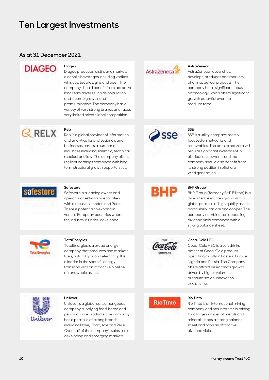## **Ten Largest Investments**

### **As at 31 December 2021**



#### **Diageo**

Diageo produces, distills and markets alcoholic beverages including vodkas, whiskies, tequilas, gins and beer. The company should benefit from attractive long term drivers such as population and income growth, and premiumisation. The company has a variety of very strong brands and faces very limited private label competition.



#### **Relx**

Relx is a global provider of information and analytics for professionals and businesses across a number of industries including scientific, technical, medical and law. The company offers resilient earnings combined with long term structural growth opportunities.



#### **Safestore**

Safestore is a leading owner and operator of self-storage facilities with a focus on London and Paris. There is potential to expand in various European countries where the industry is under-developed.



#### **TotalEnergies**

TotalEnergies is a broad energy company that produces and markets fuels, natural gas, and electricity. It is a leader in the sector's energy transition with an attractive pipeline of renewable assets.



#### **Unilever**

Unilever is a global consumer goods company supplying food, home and personal care products. The company has a portfolio of strong brands including Dove, Knorr, Axe and Persil. Over half of the company's sales are to developing and emerging markets.



#### **AstraZeneca**

AstraZeneca researches, develops, produces and markets pharmaceutical products. The company has a significant focus on oncology which offers significant growth potential over the medium term.



#### **SSE**

SSE is a utility company mostly focused on networks and renewables. The path to net zero will require significant investment in distribution networks and the company should also benefit from its strong position in offshore wind generation.



#### **BHP Group**

BHP Group (formerly BHP Billiton) is a diversified resources group with a global portfolio of high quality assets particularly iron ore and copper. The company combines an appealing dividend yield combined with a strong balance sheet.



#### **Coca-Cola HBC**

Coca-Cola HBC is a soft drinks bottler of Coca-Cola product operating mostly in Eastern Europe, Nigeria and Russia. The Company offers attractive earnings growth driven by higher volumes. premiumisation, innovation and pricing.

## **RioTinto**

#### **Rio Tinto**

Rio Tinto is an international mining company and has interests in mining for a large number of metals and minerals. It has a strong balance sheet and pays an attractive dividend yield.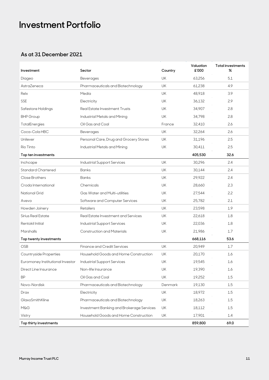## **Investment Portfolio**

## **As at 31 December 2021**

| Investment                       | Sector                                    | Country   | Valuation<br>£'000 | <b>Total investments</b><br>% |
|----------------------------------|-------------------------------------------|-----------|--------------------|-------------------------------|
| Diageo                           | Beverages                                 | <b>UK</b> | 63,256             | 5.1                           |
| AstraZeneca                      | Pharmaceuticals and Biotechnology         | UK        | 61,238             | 4.9                           |
| Relx                             | Media                                     | <b>UK</b> | 48,918             | 3.9                           |
| <b>SSE</b>                       | Electricity                               | UK        | 36,132             | 2.9                           |
| Safestore Holdings               | Real Estate Investment Trusts             | UK        | 34,907             | 2.8                           |
| <b>BHP Group</b>                 | Industrial Metals and Mining              | UK.       | 34.798             | 2.8                           |
| <b>TotalEnergies</b>             | Oil Gas and Coal                          | France    | 32,410             | 2.6                           |
| Coca-Cola HBC                    | Beverages                                 | <b>UK</b> | 32,264             | 2.6                           |
| Unilever                         | Personal Care, Drug and Grocery Stores    | <b>UK</b> | 31,196             | 2.5                           |
| Rio Tinto                        | Industrial Metals and Mining              | UK        | 30,411             | 2.5                           |
| Top ten investments              |                                           |           | 405,530            | 32.6                          |
| Inchcape                         | <b>Industrial Support Services</b>        | <b>UK</b> | 30,296             | 2.4                           |
| Standard Chartered               | <b>Banks</b>                              | <b>UK</b> | 30,144             | 2.4                           |
| Close Brothers                   | <b>Banks</b>                              | <b>UK</b> | 29,922             | 2.4                           |
| Croda International              | Chemicals                                 | UK        | 28,660             | 2.3                           |
| National Grid                    | Gas Water and Multi-utilities             | UK        | 27,544             | 2.2                           |
| Aveva                            | Software and Computer Services            | UK        | 25,782             | 2.1                           |
| Howden Joinery                   | <b>Retailers</b>                          | UK        | 23,598             | 1.9                           |
| Sirius Real Estate               | Real Estate Investment and Services       | <b>UK</b> | 22,618             | 1.8                           |
| Rentokil Initial                 | Industrial Support Services               | UK.       | 22,036             | 1.8                           |
| Marshalls                        | <b>Construction and Materials</b>         | UK        | 21,986             | 1.7                           |
| Top twenty investments           |                                           |           | 668,116            | 53.6                          |
| <b>OSB</b>                       | Finance and Credit Services               | UK.       | 20,949             | 1.7                           |
| Countryside Properties           | Household Goods and Home Construction     | <b>UK</b> | 20,170             | 1.6                           |
| Euromoney Institutional Investor | <b>Industrial Support Services</b>        | UK        | 19.545             | 1.6                           |
| Direct Line Insurance            | Non-life Insurance                        | UK        | 19,390             | 1.6                           |
| <b>BP</b>                        | Oil Gas and Coal                          | <b>UK</b> | 19,252             | 1.5                           |
| Novo-Nordisk                     | Pharmaceuticals and Biotechnology         | Denmark   | 19,130             | 1.5                           |
| Drax                             | Electricity                               | UK        | 18,972             | 1.5                           |
| GlaxoSmithKline                  | Pharmaceuticals and Biotechnology         | UK        | 18,263             | $1.5\,$                       |
| M&G                              | Investment Banking and Brokerage Services | UK        | 18,112             | 1.5                           |
| Vistry                           | Household Goods and Home Construction     | UK        | 17,901             | 1.4                           |
| Top thirty investments           |                                           |           | 859,800            | 69.0                          |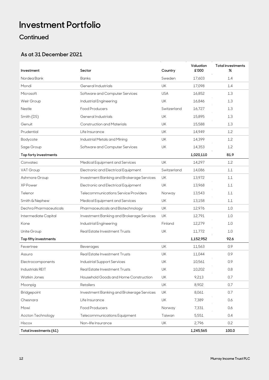## **Investment Portfolio**

## **Continued**

## **As at 31 December 2021**

| Investment             | Sector                                    | Country     | Valuation<br>£'000 | <b>Total investments</b><br>% |
|------------------------|-------------------------------------------|-------------|--------------------|-------------------------------|
| Nordea Bank            | <b>Banks</b>                              | Sweden      | 17,603             | 1.4                           |
| Mondi                  | General Industrials                       | UK          | 17,098             | 1.4                           |
| Microsoft              | Software and Computer Services            | <b>USA</b>  | 16,852             | 1.3                           |
| Weir Group             | Industrial Engineering                    | <b>UK</b>   | 16,846             | 1.3                           |
| Nestle                 | <b>Food Producers</b>                     | Switzerland | 16,727             | 1.3                           |
| Smith (DS)             | General Industrials                       | <b>UK</b>   | 15,895             | 1.3                           |
| Genuit                 | <b>Construction and Materials</b>         | UK          | 15,588             | 1.3                           |
| Prudential             | Life Insurance                            | <b>UK</b>   | 14,949             | 1.2                           |
| Bodycote               | Industrial Metals and Mining              | UK          | 14,399             | 1.2                           |
| Sage Group             | Software and Computer Services            | UK          | 14,353             | 1.2                           |
| Top forty investments  |                                           |             | 1,020,110          | 81.9                          |
| Convatec               | Medical Equipment and Services            | UK          | 14,297             | 1.2                           |
| VAT Group              | Electronic and Electrical Equipment       | Switzerland | 14,086             | 1.1                           |
| Ashmore Group          | Investment Banking and Brokerage Services | <b>UK</b>   | 13,972             | 1.1                           |
| XP Power               | Electronic and Electrical Equipment       | <b>UK</b>   | 13,968             | 1.1                           |
| Telenor                | Telecommunications Service Providers      | Norway      | 13,543             | 1.1                           |
| Smith & Nephew         | Medical Equipment and Services            | UK          | 13,158             | 1.1                           |
| Dechra Pharmaceuticals | Pharmaceuticals and Biotechnology         | <b>UK</b>   | 12,976             | 1.0                           |
| Intermediate Capital   | Investment Banking and Brokerage Services | <b>UK</b>   | 12,791             | 1.0                           |
| Kone                   | Industrial Engineering                    | Finland     | 12,279             | 1.0                           |
| Unite Group            | Real Estate Investment Trusts             | UK          | 11,772             | 1.0                           |
| Top fifty investments  |                                           |             | 1,152,952          | 92.6                          |
| Fevertree              | Beverages                                 | <b>UK</b>   | 11,563             | 0.9                           |
| Assura                 | Real Estate Investment Trusts             | UK.         | 11,044             | 0.9                           |
| Electrocomponents      | Industrial Support Services               | UK          | 10,561             | 0.9                           |
| Industrials REIT       | Real Estate Investment Trusts             | UK          | 10,202             | 0.8                           |
| Watkin Jones           | Household Goods and Home Construction     | UK          | 9,213              | 0.7                           |
| Moonpig                | Retailers                                 | UK          | 8,902              | 0.7                           |
| Bridgepoint            | Investment Banking and Brokerage Services | UK          | 8,061              | 0.7                           |
| Chesnara               | Life Insurance                            | UK          | 7,389              | 0.6                           |
| Mowi                   | Food Producers                            | Norway      | 7,331              | 0.6                           |
| Accton Technology      | Telecommunications Equipment              | Taiwan      | 5,551              | 0.4                           |
| Hiscox                 | Non-life Insurance                        | UK          | 2,796              | 0.2                           |
| Total investments (61) |                                           |             | 1,245,565          | 100.0                         |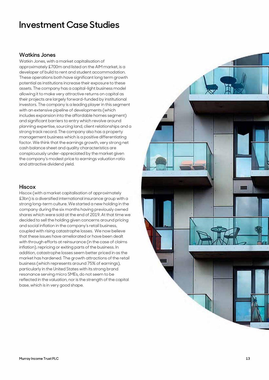## **Investment Case Studies**

#### **Watkins Jones**

Watkin Jones, with a market capitalisation of approximately £700m and listed on the AIM market, is a developer of build to rent and student accommodation. These operations both have significant long term growth potential as institutions increase their exposure to these assets. The company has a capital-light business model allowing it to make very attractive returns on capital as their projects are largely forward-funded by institutional investors. The company is a leading player in this segment with an extensive pipeline of developments (which includes expansion into the affordable homes segment) and significant barriers to entry which revolve around planning expertise, sourcing land, client relationships and a strong track record. The company also has a property management business which is a positive differentiating factor. We think that the earnings growth, very strong net cash balance sheet and quality characteristics are conspicuously under-appreciated by the market given the company's modest price to earnings valuation ratio and attractive dividend yield.

#### **Hiscox**

Hiscox (with a market capitalisation of approximately £3bn) is a diversified international insurance group with a strong long-term culture. We started a new holding in the company during the six months having previously owned shares which were sold at the end of 2019. At that time we decided to sell the holding given concerns around pricing and social inflation in the company's retail business, coupled with rising catastrophe losses. We now believe that these issues have ameliorated or have been dealt with through efforts at reinsurance (in the case of claims inflation), repricing or exiting parts of the business. In addition, catastrophe losses seem better priced in as the market has hardened. The growth attractions of the retail business (which represents around 75% of earnings), particularly in the United States with its strong brand resonance serving micro SMEs, do not seem to be reflected in the valuation, nor is the strength of the capital base, which is in very good shape.

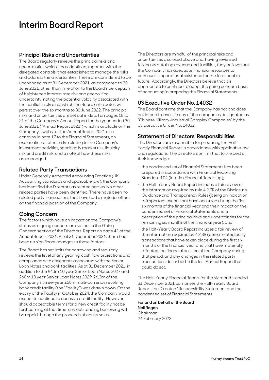## **Interim Board Report**

### **Principal Risks and Uncertainties**

The Board regularly reviews the principal risks and uncertainties which it has identified, together with the delegated controls it has established to manage the risks and address the uncertainties. These are considered to be unchanged as at 31 December 2021, as compared to 30 June 2021, other than in relation to the Board's perception of heightened interest rate risk and geopolitical uncertainty, noting the potential volatility associated with the conflict in Ukraine, which the Board anticipates will persist over the six months to 30 June 2022. The principal risks and uncertainties are set out in detail on pages 18 to 21 of the Company's Annual Report for the year ended 30 June 2021 ("Annual Report 2021") which is available on the Company's website. The Annual Report 2021 also contains, in note 17 to the Financial Statements, an explanation of other risks relating to the Company's investment activities, specifically market risk, liquidity risk and credit risk, and a note of how these risks are managed.

## **Related Party Transactions**

Under Generally Accepted Accounting Practice (UK Accounting Standards and applicable law), the Company has identified the Directors as related parties. No other related parties have been identified. There have been no related party transactions that have had a material effect on the financial position of the Company.

## **Going Concern**

The factors which have an impact on the Company's status as a going concern are set out in the Going Concern section of the Directors' Report on page 42 of the Annual Report 2021. As at 31 December 2021, there had been no significant changes to these factors.

The Board has set limits for borrowing and regularly reviews the level of any gearing, cash flow projections and compliance with covenants associated with the Senior Loan Notes and bank facilities. As at 31 December 2021, in addition to the £40m 10 year Senior Loan Notes 2027 and £60m 10 year Senior Loan Notes 2029, £6.3m of the Company's three-year £50m multi-currency revolving bank credit facility (the "Facility") was drawn down. On the expiry of the Facility in October 2024, the Company would expect to continue to access a credit facility. However, should acceptable terms for a new credit facility not be forthcoming at that time, any outstanding borrowing will be repaid through the proceeds of equity sales.

The Directors are mindful of the principal risks and uncertainties disclosed above and, having reviewed forecasts detailing revenue and liabilities, they believe that the Company has adequate financial resources to continue its operational existence for the foreseeable future. Accordingly, the Directors believe that it is appropriate to continue to adopt the going concern basis of accounting in preparing the Financial Statements.

## **US Executive Order No. 14032**

The Board confirms that the Company has not and does not intend to invest in any of the companies designated as "Chinese Military-Industrial Complex Companies" by the US Executive Order No. 14032.

### **Statement of Directors' Responsibilities**

The Directors are responsible for preparing the Half-Yearly Financial Report in accordance with applicable law and regulations. The Directors confirm that to the best of their knowledge:

- the condensed set of Financial Statements has been prepared in accordance with Financial Reporting Standard 104 (Interim Financial Reporting);
- the Half-Yearly Board Report includes a fair review of the information required by rule 4.2.7R of the Disclosure Guidance and Transparency Rules (being an indication of important events that have occurred during the first six months of the financial year and their impact on the condensed set of Financial Statements and a description of the principal risks and uncertainties for the remaining six months of the financial year); and
- the Half-Yearly Board Report includes a fair review of the information required by 4.2.8R (being related party transactions that have taken place during the first six months of the financial year and that have materially affected the financial position of the Company during that period; and any changes in the related party transactions described in the last Annual Report that could do so).

The Half-Yearly Financial Report for the six months ended 31 December 2021 comprises the Half-Yearly Board Report, the Directors' Responsibility Statement and the condensed set of Financial Statements.

**For and on behalf of the Board Neil Rogan,** Chairman 24 February 2022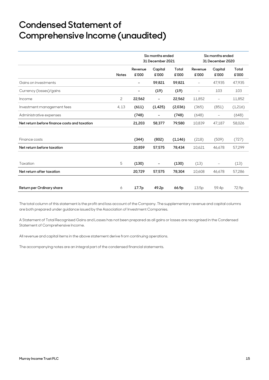## **Condensed Statement of Comprehensive Income (unaudited)**

|                                              |              | Six months ended<br>31 December 2021 |                          | Six months ended<br>31 December 2020 |                          |                          |                |
|----------------------------------------------|--------------|--------------------------------------|--------------------------|--------------------------------------|--------------------------|--------------------------|----------------|
|                                              | <b>Notes</b> | Revenue<br>£'000                     | Capital<br>£'000         | Total<br>£'000                       | Revenue<br>£'000         | Capital<br>£'000         | Total<br>£'000 |
| Gains on investments                         |              | $\qquad \qquad \blacksquare$         | 59,821                   | 59,821                               | $\overline{\phantom{a}}$ | 47,935                   | 47,935         |
| Currency (losses)/gains                      |              | -                                    | (19)                     | (19)                                 | $\equiv$                 | 103                      | 103            |
| Income                                       | 2            | 22,562                               | $\overline{\phantom{0}}$ | 22,562                               | 11,852                   | $\overline{\phantom{a}}$ | 11,852         |
| Investment management fees                   | 4, 13        | (611)                                | (1, 425)                 | (2,036)                              | (365)                    | (851)                    | (1,216)        |
| Administrative expenses                      |              | (748)                                | $\overline{\phantom{0}}$ | (748)                                | (648)                    | $\overline{\phantom{a}}$ | (648)          |
| Net return before finance costs and taxation |              | 21,203                               | 58,377                   | 79,580                               | 10,839                   | 47,187                   | 58,026         |
|                                              |              |                                      |                          |                                      |                          |                          |                |
| Finance costs                                |              | (344)                                | (802)                    | (1, 146)                             | (218)                    | (509)                    | (727)          |
| Net return before taxation                   |              | 20,859                               | 57,575                   | 78,434                               | 10,621                   | 46,678                   | 57,299         |
|                                              |              |                                      |                          |                                      |                          |                          |                |
| Taxation                                     | 5            | (130)                                | $\overline{\phantom{0}}$ | (130)                                | (13)                     | $\qquad \qquad -$        | (13)           |
| Net return after taxation                    |              | 20,729                               | 57,575                   | 78.304                               | 10,608                   | 46,678                   | 57,286         |
|                                              |              |                                      |                          |                                      |                          |                          |                |
| Return per Ordinary share                    | 6            | 17.7 <sub>p</sub>                    | 49.2p                    | 66.9p                                | 13.5p                    | 59.4 <sub>p</sub>        | 72.9p          |

The total column of this statement is the profit and loss account of the Company. The supplementary revenue and capital columns are both prepared under guidance issued by the Association of Investment Companies.

A Statement of Total Recognised Gains and Losses has not been prepared as all gains or losses are recognised in the Condensed Statement of Comprehensive Income.

All revenue and capital items in the above statement derive from continuing operations.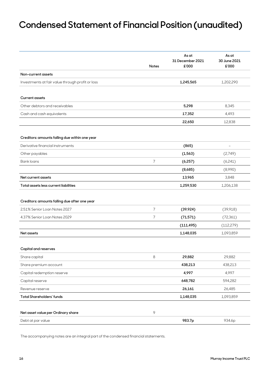## **Condensed Statement of Financial Position (unaudited)**

|                                                  | <b>Notes</b> | As at<br>31 December 2021<br>£'000 | As at<br>30 June 2021<br>£'000 |
|--------------------------------------------------|--------------|------------------------------------|--------------------------------|
| Non-current assets                               |              |                                    |                                |
| Investments at fair value through profit or loss |              | 1,245,565                          | 1,202,290                      |
| <b>Current assets</b>                            |              |                                    |                                |
| Other debtors and receivables                    |              | 5,298                              | 8,345                          |
| Cash and cash equivalents                        |              | 17,352                             | 4,493                          |
|                                                  |              | 22,650                             | 12,838                         |
| Creditors: amounts falling due within one year   |              |                                    |                                |
| Derivative financial instruments                 |              | (865)                              | $\overline{\phantom{0}}$       |
| Other payables                                   |              | (1, 563)                           | (2,749)                        |
| Bank loans                                       | 7            | (6,257)                            | (6,241)                        |
|                                                  |              | (8,685)                            | (8,990)                        |
| Net current assets                               |              | 13,965                             | 3,848                          |
| Total assets less current liabilities            |              | 1,259,530                          | 1,206,138                      |
| Creditors: amounts falling due after one year    |              |                                    |                                |
| 2.51% Senior Loan Notes 2027                     | 7            | (39, 924)                          | (39,918)                       |
| 4.37% Senior Loan Notes 2029                     | 7            | (71, 571)                          | (72, 361)                      |
|                                                  |              | (111, 495)                         | (112, 279)                     |
| Net assets                                       |              | 1,148,035                          | 1,093,859                      |
| Capital and reserves                             |              |                                    |                                |
| Share capital                                    | 8            | 29,882                             | 29,882                         |
| Share premium account                            |              | 438,213                            | 438,213                        |
| Capital redemption reserve                       |              | 4,997                              | 4,997                          |
| Capital reserve                                  |              | 648,782                            | 594,282                        |
| Revenue reserve                                  |              | 26,161                             | 26,485                         |
| <b>Total Shareholders' funds</b>                 |              | 1,148,035                          | 1,093,859                      |
| Net asset value per Ordinary share               | $\,9$        |                                    |                                |
| Debt at par value                                |              | 983.7p                             | 934.6p                         |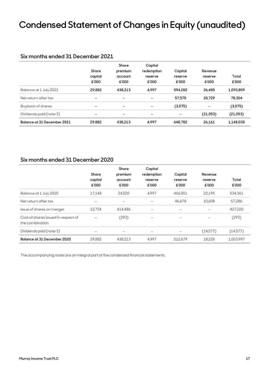## **Condensed Statement of Changes in Equity (unaudited)**

## **Six months ended 31 December 2021**

|                             | Share<br>capital<br>£'000 | Share<br>premium<br>account<br>£'000 | Capital<br>redemption<br>reserve<br>£'000 | Capital<br>reserve<br>£'000 | Revenue<br>reserve<br>£'000 | Total<br>£'000 |
|-----------------------------|---------------------------|--------------------------------------|-------------------------------------------|-----------------------------|-----------------------------|----------------|
| Balance at 1 July 2021      | 29,882                    | 438.213                              | 4.997                                     | 594.282                     | 26.485                      | 1,093,859      |
| Net return after tax        | $\overline{\phantom{a}}$  | $\overline{\phantom{a}}$             | $\overline{\phantom{0}}$                  | 57.575                      | 20.729                      | 78.304         |
| Buyback of shares           | $\overline{\phantom{0}}$  |                                      |                                           | (3,075)                     |                             | (3,075)        |
| Dividends paid (note 3)     | $\overline{\phantom{a}}$  | $\overline{\phantom{a}}$             | $\overline{\phantom{a}}$                  | -                           | (21,053)                    | (21,053)       |
| Balance at 31 December 2021 | 29.882                    | 438.213                              | 4.997                                     | 648.782                     | 26.161                      | 1.148.035      |

## **Six months ended 31 December 2020**

|                                                        | Share<br>capital<br>£'000 | Share<br>premium<br>account<br>£'000 | Capital<br>redemption<br>reserve<br>£'000 | Capital<br>reserve<br>£'000 | Revenue<br>reserve<br>£'000 | Total<br>£'000 |
|--------------------------------------------------------|---------------------------|--------------------------------------|-------------------------------------------|-----------------------------|-----------------------------|----------------|
| Balance at 1 July 2020                                 | 17.148                    | 24,020                               | 4,997                                     | 466.001                     | 22,195                      | 534,361        |
| Net return after tax                                   | $\overline{\phantom{a}}$  | $\overline{\phantom{m}}$             |                                           | 46,678                      | 10,608                      | 57,286         |
| Issue of shares on merger                              | 12,734                    | 414,486                              | $\overline{\phantom{m}}$                  | $\overline{\phantom{m}}$    | $\overline{\phantom{m}}$    | 427,220        |
| Cost of shares issued in respect of<br>the combination | $\overline{\phantom{m}}$  | (293)                                | $\overline{\phantom{m}}$                  | -                           |                             | (293)          |
| Dividends paid (note 3)                                |                           | $\overline{\phantom{m}}$             | $\qquad \qquad -$                         |                             | (14,577)                    | (14,577)       |
| Balance at 31 December 2020                            | 29.882                    | 438.213                              | 4.997                                     | 512.679                     | 18.226                      | 1.003.997      |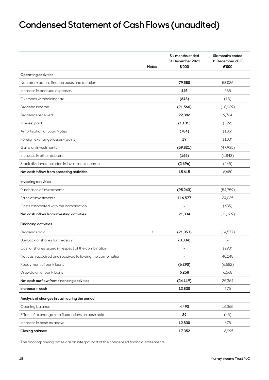## **Condensed Statement of Cash Flows (unaudited)**

|                                                          |       | Six months ended<br>31 December 2021<br>£'000 | Six months ended<br>31 December 2020<br>£'000 |
|----------------------------------------------------------|-------|-----------------------------------------------|-----------------------------------------------|
| <b>Operating activities</b>                              | Notes |                                               |                                               |
| Net return before finance costs and taxation             |       | 79,580                                        | 58,026                                        |
|                                                          |       | 445                                           | 535                                           |
| Increase in accrued expenses                             |       |                                               |                                               |
| Overseas withholding tax                                 |       | (648)                                         | (13)                                          |
| Dividend income                                          |       | (21, 566)                                     | (10,929)                                      |
| Dividends received                                       |       | 22,382                                        | 9,764                                         |
| Interest paid                                            |       | (1, 131)                                      | (392)                                         |
| Amortisation of Loan Notes                               |       | (784)                                         | (185)                                         |
| Foreign exchange losses/(gains)                          |       | 19                                            | (103)                                         |
| Gains on investments                                     |       | (59, 821)                                     | (47,935)                                      |
| Increase in other debtors                                |       | (165)                                         | (1,843)                                       |
| Stock dividends included in investment income            |       | (2,696)                                       | (245)                                         |
| Net cash inflow from operating activities                |       | 15,615                                        | 6,680                                         |
| Investing activities                                     |       |                                               |                                               |
| Purchases of investments                                 |       | (95, 243)                                     | (54, 759)                                     |
| Sales of investments                                     |       | 116,577                                       | 24,025                                        |
| Costs associated with the combination                    |       |                                               | (635)                                         |
| Net cash inflow from investing activities                |       | 21,334                                        | (31, 369)                                     |
| <b>Financing activities</b>                              |       |                                               |                                               |
| Dividends paid                                           | 3     | (21,053)                                      | (14, 577)                                     |
| Buyback of shares for treasury                           |       | (3,034)                                       | $\overline{\phantom{0}}$                      |
| Cost of shares issued in respect of the combination      |       |                                               | (293)                                         |
| Net cash acquired and received following the combination |       | -                                             | 40,248                                        |
| Repayment of bank loans                                  |       | (6, 290)                                      | (6, 582)                                      |
| Drawdown of bank loans                                   |       | 6,258                                         | 6,568                                         |
| Net cash outflow from financing activities               |       | (24, 119)                                     | 25,364                                        |
| Increase in cash                                         |       | 12,830                                        | 675                                           |
| Analysis of changes in cash during the period            |       |                                               |                                               |
| Opening balance                                          |       | 4,493                                         | 16,365                                        |
| Effect of exchange rate fluctuations on cash held        |       | 29                                            | (45)                                          |
| Increase in cash as above                                |       | 12,830                                        | 675                                           |
| <b>Closing balance</b>                                   |       | 17,352                                        | 16,995                                        |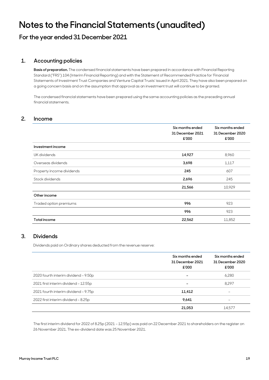## **Notes to the Financial Statements (unaudited)**

**For the year ended 31 December 2021** 

### **1. Accounting policies**

**Basis of preparation.** The condensed financial statements have been prepared in accordance with Financial Reporting Standard ("FRS") 104 (Interim Financial Reporting) and with the Statement of Recommended Practice for 'Financial Statements of Investment Trust Companies and Venture Capital Trusts' issued in April 2021. They have also been prepared on a going concern basis and on the assumption that approval as an investment trust will continue to be granted.

 The condensed financial statements have been prepared using the same accounting policies as the preceding annual financial statements.

#### **2. Income**

|                           | Six months ended<br>31 December 2021<br>£'000 | Six months ended<br>31 December 2020<br>\$000 |
|---------------------------|-----------------------------------------------|-----------------------------------------------|
| Investment income         |                                               |                                               |
| UK dividends              | 14,927                                        | 8,960                                         |
| Overseas dividends        | 3,698                                         | 1,117                                         |
| Property income dividends | 245                                           | 607                                           |
| Stock dividends           | 2,696                                         | 245                                           |
|                           | 21,566                                        | 10,929                                        |
| Other income              |                                               |                                               |
| Traded option premiums    | 996                                           | 923                                           |
|                           | 996                                           | 923                                           |
| <b>Total income</b>       | 22,562                                        | 11,852                                        |
|                           |                                               |                                               |

### **3. Dividends**

Dividends paid on Ordinary shares deducted from the revenue reserve:

|                                      | Six months ended<br>31 December 2021<br>£'000 | Six months ended<br>31 December 2020<br>£'000 |
|--------------------------------------|-----------------------------------------------|-----------------------------------------------|
| 2020 fourth interim dividend - 9.50p |                                               | 6,280                                         |
| 2021 first interim dividend - 12.55p |                                               | 8,297                                         |
| 2021 fourth interim dividend - 9.75p | 11,412                                        | -                                             |
| 2022 first interim dividend - 8.25p  | 9,641                                         | -                                             |
|                                      | 21.053                                        | 14.577                                        |

 The first interim dividend for 2022 of 8.25p (2021 – 12.55p) was paid on 22 December 2021 to shareholders on the register on 26 November 2021. The ex-dividend date was 25 November 2021.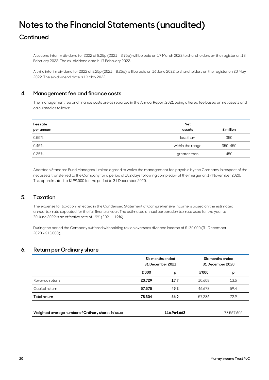## **Notes to the Financial Statements (unaudited)**

## **Continued**

 A second interim dividend for 2022 of 8.25p (2021 – 3.95p) will be paid on 17 March 2022 to shareholders on the register on 18 February 2022. The ex-dividend date is 17 February 2022.

 A third interim dividend for 2022 of 8.25p (2021 – 8.25p) will be paid on 16 June 2022 to shareholders on the register on 20 May 2022. The ex-dividend date is 19 May 2022.

#### **4. Management fee and finance costs**

 The management fee and finance costs are as reported in the Annual Report 2021 being a tiered fee based on net assets and calculated as follows:

| Fee rate  | Net              |                           |  |
|-----------|------------------|---------------------------|--|
| per annum | assets           | $\pounds$ 'million<br>350 |  |
| 0.55%     | less than        |                           |  |
| 0.45%     | within the range | 350-450                   |  |
| 0.25%     | greater than     | 450                       |  |

 Aberdeen Standard Fund Managers Limited agreed to waive the management fee payable by the Company in respect of the net assets transferred to the Company for a period of 182 days following completion of the merger on 17 November 2020. This approimated to £199,000 for the period to 31 December 2020.

### **5. Taxation**

 The expense for taxation reflected in the Condensed Statement of Comprehensive Income is based on the estimated annual tax rate expected for the full financial year. The estimated annual corporation tax rate used for the year to 30 June 2022 is an effective rate of 19% (2021 – 19%).

 During the period the Company suffered withholding tax on overseas dividend income of £130,000 (31 December 2020 – £13,000).

#### **6. Return per Ordinary share**

|                     | Six months ended<br>31 December 2021 |      | Six months ended<br>31 December 2020 |      |
|---------------------|--------------------------------------|------|--------------------------------------|------|
|                     | £'000                                | p    | £'000                                | p    |
| Revenue return      | 20,729                               | 17.7 | 10,608                               | 13.5 |
| Capital return      | 57,575                               | 49.2 | 46,678                               | 59.4 |
| <b>Total return</b> | 78.304                               | 66.9 | 57,286                               | 72.9 |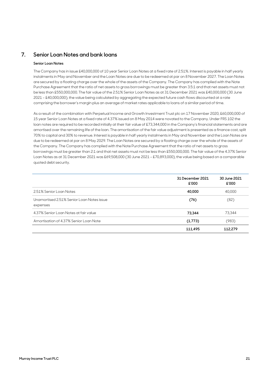## **7. Senior Loan Notes and bank loans**

#### **Senior Loan Notes**

 The Company has in issue £40,000,000 of 10 year Senior Loan Notes at a fixed rate of 2.51%. Interest is payable in half yearly instalments in May and November and the Loan Notes are due to be redeemed at par on 8 November 2027. The Loan Notes are secured by a floating charge over the whole of the assets of the Company. The Company has complied with the Note Purchase Agreement that the ratio of net assets to gross borrowings must be greater than 3.5:1 and that net assets must not be less than £550,000,000. The fair value of the 2.51% Senior Loan Notes as at 31 December 2021 was £40,000,000 (30 June 2021 – £40,000,000), the value being calculated by aggregating the expected future cash flows discounted at a rate comprising the borrower's margin plus an average of market rates applicable to loans of a similar period of time.

As a result of the combination with Perpetual Income and Growth Investment Trust plc on 17 November 2020, £60,000,000 of 15 year Senior Loan Notes at a fixed rate of 4.37% issued on 8 May 2014 were novated to the Company. Under FRS 102 the loan notes are required to be recorded initially at their fair value of £73,344,000 in the Company's financial statements and are amortised over the remaining life of the loan. The amortisation of the fair value adjustment is presented as a finance cost, split 70% to capital and 30% to revenue. Interest is payable in half yearly instalments in May and November and the Loan Notes are due to be redeemed at par on 8 May 2029. The Loan Notes are secured by a floating charge over the whole of the assets of the Company. The Company has complied with the Note Purchase Agreement that the ratio of net assets to gross borrowings must be greater than 2:1 and that net assets must not be less than £550,000,000. The fair value of the 4.37% Senior Loan Notes as at 31 December 2021 was £69,508,000 (30 June 2021 – £70,893,000), the value being based on a comparable quoted debt security.

|                                                       | 31 December 2021<br>£'000 | 30 June 2021<br>£'000 |
|-------------------------------------------------------|---------------------------|-----------------------|
| 2.51% Senior Loan Notes                               | 40,000                    | 40,000                |
| Unamortised 2.51% Senior Loan Notes issue<br>expenses | (76)                      | (82)                  |
| 4.37% Senior Loan Notes at fair value                 | 73,344                    | 73,344                |
| Amortisation of 4.37% Senior Loan Note                | (1,773)                   | (983)                 |
|                                                       | 111.495                   | 112,279               |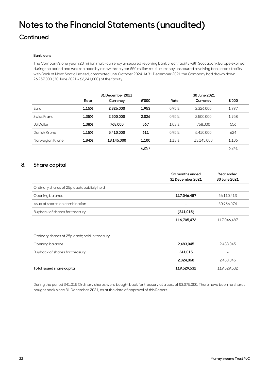# **Notes to the Financial Statements (unaudited)**

## **Continued**

#### **Bank loans**

 The Company's one year £20 million multi–currency unsecured revolving bank credit facility with Scotiabank Europe expired during the period and was replaced by a new three year £50 million multi–currency unsecured revolving bank credit facility with Bank of Nova Scotia Limited, committed until October 2024. At 31 December 2021 the Company had drawn down £6,257,000 (30 June 2021 – £6,241,000) of the facility.

|                  | 31 December 2021 |            | 30 June 2021 |       |            |       |
|------------------|------------------|------------|--------------|-------|------------|-------|
|                  | Rate             | Currency   | £'000        | Rate  | Currency   | £'000 |
| Euro             | 1.15%            | 2.326.000  | 1.953        | 0.95% | 2,326,000  | 1.997 |
| Swiss Franc      | 1.35%            | 2.500.000  | 2,026        | 0.95% | 2,500,000  | 1.958 |
| <b>US Dollar</b> | 1.38%            | 768,000    | 567          | 1.03% | 768.000    | 556   |
| Danish Krona     | 1.15%            | 5.410.000  | 611          | 0.95% | 5,410,000  | 624   |
| Norwegian Krone  | 1.84%            | 13.145.000 | 1.100        | 1.13% | 13,145,000 | 1,106 |
|                  |                  |            | 6.257        |       |            | 6,241 |

### **8. Share capital**

|                                            | Six months ended<br>31 December 2021 | Year ended<br>30 June 2021 |  |
|--------------------------------------------|--------------------------------------|----------------------------|--|
| Ordinary shares of 25p each: publicly held |                                      |                            |  |
| Opening balance                            | 117,046,487                          | 66,110,413                 |  |
| Issue of shares on combination             |                                      | 50,936,074                 |  |
| Buyback of shares for treasury             | (341, 015)                           | -                          |  |
|                                            | 116,705,472                          | 117,046,487                |  |

Ordinary shares of 25p each; held in treasury

| Opening balance                | 2,483,045   | 2,483,045                |
|--------------------------------|-------------|--------------------------|
| Buyback of shares for treasury | 341.015     | $\overline{\phantom{0}}$ |
|                                | 2.824.060   | 2,483,045                |
| Total issued share capital     | 119.529.532 | 119.529.532              |

 During the period 341,015 Ordinary shares were bought back for treasury at a cost of £3,075,000. There have been no shares bought back since 31 December 2021, as at the date of approval of this Report.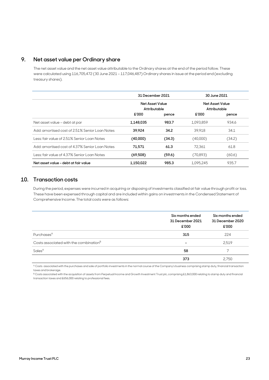#### **9. Net asset value per Ordinary share**

 The net asset value and the net asset value attributable to the Ordinary shares at the end of the period follow. These were calculated using 116,705,472 (30 June 2021 – 117,046,487) Ordinary shares in issue at the period end (excluding treasury shares).

|                                                | 31 December 2021<br>Net Asset Value<br>Attributable |        | 30 June 2021<br>Net Asset Value<br>Attributable |        |
|------------------------------------------------|-----------------------------------------------------|--------|-------------------------------------------------|--------|
|                                                |                                                     |        |                                                 |        |
|                                                | £'000                                               | pence  | £'000                                           | pence  |
| Net asset value - debt at par                  | 1,148,035                                           | 983.7  | 1,093,859                                       | 934.6  |
| Add: amortised cost of 2.51% Senior Loan Notes | 39.924                                              | 34.2   | 39.918                                          | 34.1   |
| Less: fair value of 2.51% Senior Loan Notes.   | (40,000)                                            | (34.3) | (40,000)                                        | (34.2) |
| Add: amortised cost of 4.37% Senior Loan Notes | 71.571                                              | 61.3   | 72.361                                          | 61.8   |
| Less: fair value of 4.37% Senior Loan Notes    | (69,508)                                            | (59.6) | (70, 893)                                       | (60.6) |
| Net asset value - debt at fair value           | 1,150,022                                           | 985.3  | 1,095,245                                       | 935.7  |

#### **10. Transaction costs**

 During the period, expenses were incurred in acquiring or disposing of investments classified at fair value through profit or loss. These have been expensed through capital and are included within gains on investments in the Condensed Statement of Comprehensive Income. The total costs were as follows:

|                                                    | Six months ended<br>31 December 2021<br>£'000 | Six months ended<br>31 December 2020<br>£'000<br>224 |  |
|----------------------------------------------------|-----------------------------------------------|------------------------------------------------------|--|
| Purchases <sup>A</sup>                             | 315                                           |                                                      |  |
| Costs associated with the combination <sup>B</sup> | -                                             | 2,519                                                |  |
| Sales <sup>A</sup>                                 | 58                                            |                                                      |  |
|                                                    | 373                                           | 2.750                                                |  |

A Costs associated with the purchases and sale of portfolio investments in the normal course of the Company's business comprising stamp duty, financial transaction taxes and brokerage.

B Costs associated with the acquisition of assets from Perpetual Income and Growth Investment Trust plc, comprising £1,863,000 relating to stamp duty and financial transaction taxes and £656,000 relating to professional fees.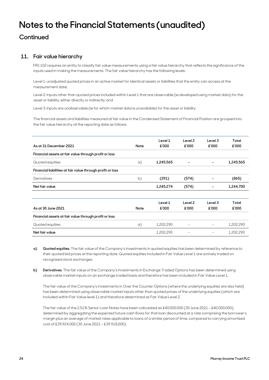## **Notes to the Financial Statements (unaudited)**

## **Continued**

## **11. Fair value hierarchy**

 FRS 102 requires an entity to classify fair value measurements using a fair value hierarchy that reflects the significance of the inputs used in making the measurements. The fair value hierarchy has the following levels:

 Level 1: unadjusted quoted prices in an active market for identical assets or liabilities that the entity can access at the measurement date;

 Level 2: inputs other than quoted prices included within Level 1 that are observable (ie developed using market data) for the asset or liability, either directly or indirectly; and

Level 3: inputs are unobservable (ie for which market data is unavailable) for the asset or liability.

 The financial assets and liabilities measured at fair value in the Condensed Statement of Financial Position are grouped into the fair value hierarchy at the reporting date as follows:

| Note | Level 1<br>£'000 | Level 2<br>£'000         | Level 3<br>£'000             | Total<br>£'000 |
|------|------------------|--------------------------|------------------------------|----------------|
|      |                  |                          |                              |                |
| a)   | 1,245,565        | $\overline{\phantom{0}}$ | -                            | 1,245,565      |
|      |                  |                          |                              |                |
| b)   | (291)            | (574)                    | -                            | (865)          |
|      | 1,245,274        | (574)                    | -                            | 1,244,700      |
| Note | Level 1<br>£'000 | Level 2<br>£'000         | Level 3<br>£'000             | Total<br>£'000 |
|      |                  |                          |                              |                |
| a)   | 1,202,290        | $\overline{\phantom{m}}$ | $\overline{\phantom{m}}$     | 1,202,290      |
|      | 1,202,290        | -                        | $\qquad \qquad \blacksquare$ | 1,202,290      |
|      |                  |                          |                              |                |

- **a) Quoted equities**. The fair value of the Company's investments in quoted equities has been determined by reference to their quoted bid prices at the reporting date. Quoted equities included in Fair Value Level 1 are actively traded on recognised stock exchanges.
- **b) Derivatives**. The fair value of the Company's investments in Exchange Traded Options has been determined using observable market inputs on an exchange traded basis and therefore has been included in Fair Value Level 1.

The fair value of the Company's investments in Over the Counter Options (where the underlying equities are also held) has been determined using observable market inputs other than quoted prices of the underlying equities (which are included within Fair Value level 1) and therefore determined as Fair Value Level 2.

The fair value of the 2.51% Senior Loan Notes have been calculated as £40,000,000 (30 June 2021 – £40,000,000), determined by aggregating the expected future cash flows for that loan discounted at a rate comprising the borrower's margin plus an average of market rates applicable to loans of a similar period of time, compared to carrying amortised cost of £39,924,000 (30 June 2021 – £39,918,000).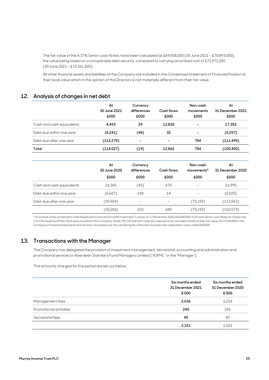The fair value of the 4.37% Senior Loan Notes, have been calculated as £69,508,000 (30 June 2021 – £70,893,000), the value being based on a comparable debt security, compared to carrying amortised cost of £71,571,000 (30 June 2021 – £72,361,000).

All other financial assets and liabilities of the Company are included in the Condensed Statement of Financial Position at their book value which in the opinion of the Directors is not materially different from their fair value.

#### **12. Analysis of changes in net debt**

|                           | At<br>30 June 2021<br>£000 | Currency<br>differences<br>£000 | Cash flows<br>£000       | Non-cash<br>movements<br>£000 | At<br>31 December 2021<br>£000 |
|---------------------------|----------------------------|---------------------------------|--------------------------|-------------------------------|--------------------------------|
| Cash and cash equivalents | 4.493                      | 29                              | 12,830                   |                               | 17,352                         |
| Debt due within one year  | (6,241)                    | (48)                            | 32                       | -                             | (6,257)                        |
| Debt due after one year   | (112, 279)                 | $\overline{\phantom{0}}$        | $\overline{\phantom{a}}$ | 784                           | (111, 495)                     |
| Total                     | (114, 027)                 | (19)                            | 12,862                   | 784                           | (100, 400)                     |

|                           | At<br>30 June 2020 | Currency<br>differences | Cash flows | Non-cash<br>movements <sup>A</sup> | At<br>31 December 2020 |
|---------------------------|--------------------|-------------------------|------------|------------------------------------|------------------------|
|                           | £000               | £000                    | £000       | £000                               | £000                   |
| Cash and cash equivalents | 16,365             | (45)                    | 675        |                                    | 16,995                 |
| Debt due within one year  | (6,667)            | 148                     | 14         |                                    | (6, 505)               |
| Debt due after one year   | (39,904)           | -                       |            | (73, 159)                          | (113,063)              |
|                           | (30,206)           | 103                     | 689        | (73,159)                           | (102, 573)             |

A As a result of the combination with Perpetual Income and Growth Investment Trust plc on 17 November 2020, £60,000,000 of 15 year Senior Loan Notes at a fixed rate of 4.37% issued on 8 May 2014 were novated to the Company. Under FRS 102 the loan notes are required to be recorded initially at their fair value of £73,344,000 in the Company's Financial Statements and are then amortised over the remaining life of the loan towards their redemption value of £60,000,000.

### **13. Transactions with the Manager**

 The Company has delegated the provision of investment management, secretarial, accounting and administration and promotional services to Aberdeen Standard Fund Managers Limited ("ASFML" or the "Manager").

The amounts charged for the period are set out below:

|                        | Six months ended<br>31 December 2021<br>£'000 | Six months ended<br>31 December 2020<br>£'000 |
|------------------------|-----------------------------------------------|-----------------------------------------------|
| Management fees        | 2,036                                         | 1,216                                         |
| Promotional activities | 240                                           | 241                                           |
| Secretarial fees       | 45                                            | 45                                            |
|                        | 2,321                                         | 1,502                                         |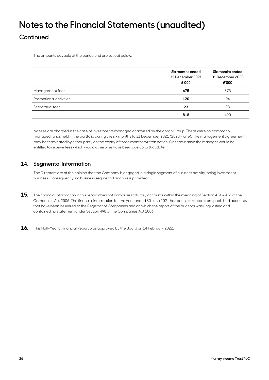## **Notes to the Financial Statements (unaudited)**

## **Continued**

The amounts payable at the period end are set out below:

|                        | Six months ended          | Six months ended          |
|------------------------|---------------------------|---------------------------|
|                        | 31 December 2021<br>£'000 | 31 December 2020<br>£'000 |
| Management fees        | 675                       | 373                       |
| Promotional activities | 120                       | 94                        |
| Secretarial fees       | 23                        | 23                        |
|                        | 818                       | 490                       |

 No fees are charged in the case of investments managed or advised by the abrdn Group. There were no commonly managed funds held in the portfolio during the six months to 31 December 2021 (2020 – one). The management agreement may be terminated by either party on the expiry of three months written notice. On termination the Manager would be entitled to receive fees which would otherwise have been due up to that date.

## **14. Segmental Information**

 The Directors are of the opinion that the Company is engaged in a single segment of business activity, being investment business. Consequently, no business segmental analysis is provided.

- **15.** The financial information in this report does not comprise statutory accounts within the meaning of Section 434 436 of the Companies Act 2006. The financial information for the year ended 30 June 2021 has been extracted from published accounts that have been delivered to the Registrar of Companies and on which the report of the auditors was unqualified and contained no statement under Section 498 of the Companies Act 2006.
- **16.** This Half-Yearly Financial Report was approved by the Board on 24 February 2022.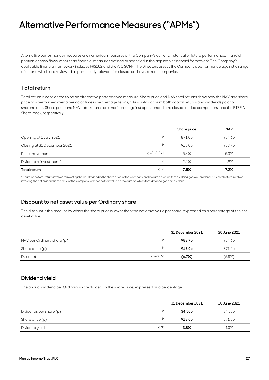## **Alternative Performance Measures ("APMs")**

Alternative performance measures are numerical measures of the Company's current, historical or future performance, financial position or cash flows, other than financial measures defined or specified in the applicable financial framework. The Company's applicable financial framework includes FRS102 and the AIC SORP. The Directors assess the Company's performance against a range of criteria which are reviewed as particularly relevant for closed-end investment companies.

## **Total return**

Total return is considered to be an alternative performance measure. Share price and NAV total returns show how the NAV and share price has performed over a period of time in percentage terms, taking into account both capital returns and dividends paid to shareholders. Share price and NAV total returns are monitored against open-ended and closed-ended competitors, and the FTSE All-Share Index, respectively.

|                                    |             | Share price | <b>NAV</b> |
|------------------------------------|-------------|-------------|------------|
| Opening at 1 July 2021             | a           | 871.0p      | 934.6p     |
| Closing at 31 December 2021        | b           | 918.0p      | 983.7p     |
| Price movements                    | $c=(b/a)-1$ | 5.4%        | 5.3%       |
| Dividend reinvestment <sup>A</sup> | d           | 2.1%        | 1.9%       |
| Total return                       | c+d         | 7.5%        | 7.2%       |

A Share price total return involves reinvesting the net dividend in the share price of the Company on the date on which that dividend goes ex-dividend. NAV total return involves investing the net dividend in the NAV of the Company with debt at fair value on the date on which that dividend goes ex-dividend.

### **Discount to net asset value per Ordinary share**

The discount is the amount by which the share price is lower than the net asset value per share, expressed as a percentage of the net asset value.

|                            |           | 31 December 2021   | 30 June 2021 |
|----------------------------|-----------|--------------------|--------------|
| NAV per Ordinary share (p) | a         | 983.7 <sub>p</sub> | 934.6p       |
| Share price (p)            | b         | 918.0 <sub>p</sub> | 871.0p       |
| Discount                   | $(b-a)/a$ | (6.7%)             | $(6.8\%)$    |

## **Dividend yield**

The annual dividend per Ordinary share divided by the share price, expressed as a percentage.

|                         |     | 31 December 2021   | 30 June 2021       |
|-------------------------|-----|--------------------|--------------------|
| Dividends per share (p) | a   | 34.50 <sub>p</sub> | 34.50 <sub>p</sub> |
| Share price (p)         | b   | 918.0 <sub>p</sub> | 871.0p             |
| Dividend yield          | a/b | 3.8%               | 4.0%               |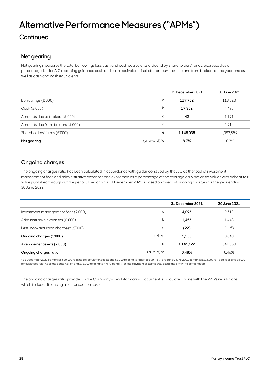# **Alternative Performance Measures ("APMs")**

## **Continued**

## **Net gearing**

Net gearing measures the total borrowings less cash and cash equivalents dividend by shareholders' funds, expressed as a percentage. Under AIC reporting guidance cash and cash equivalents includes amounts due to and from brokers at the year end as well as cash and cash equivalents.

|                                  |             | 31 December 2021         | 30 June 2021 |
|----------------------------------|-------------|--------------------------|--------------|
| Borrowings (£'000)               | a           | 117,752                  | 118,520      |
| Cash(E'000)                      | b           | 17,352                   | 4,493        |
| Amounts due to brokers (£'000)   | C           | 42                       | 1,191        |
| Amounts due from brokers (£'000) | d           | $\overline{\phantom{0}}$ | 2,914        |
| Shareholders' funds (£'000)      | $\mathbf e$ | 1,148,035                | 1,093,859    |
| Net gearing                      | (a-b+c-d)/e | 8.7%                     | 10.3%        |

## **Ongoing charges**

The ongoing charges ratio has been calculated in accordance with guidance issued by the AIC as the total of investment management fees and administrative expenses and expressed as a percentage of the average daily net asset values with debt at fair value published throughout the period. The ratio for 31 December 2021 is based on forecast ongoing charges for the year ending 30 June 2022.

|                                                  |           | 31 December 2021 | 30 June 2021 |
|--------------------------------------------------|-----------|------------------|--------------|
| Investment management fees (£'000)               | a         | 4,096            | 2,512        |
| Administrative expenses (£'000)                  | b         | 1,456            | 1,443        |
| Less: non-recurring charges <sup>A</sup> (£'000) | C         | (22)             | (115)        |
| Ongoing charges (£'000)                          | $a+b+c$   | 5.530            | 3,840        |
| Average net assets (£'000)                       | d         | 1.141.122        | 841,850      |
| Ongoing charges ratio                            | (a+b+c)/d | 0.48%            | 0.46%        |

A 31 December 2021 comprises £20,000 relating to recruitment costs and £2,000 relating to legal fees unlikely to recur. 30 June 2021 comprises £18,000 for legal fees and £6,000 for audit fees relating to the combination and £91,000 relating to HMRC penalty for late payment of stamp duty associated with the combination.

The ongoing charges ratio provided in the Company's Key Information Document is calculated in line with the PRIIPs regulations, which includes financing and transaction costs.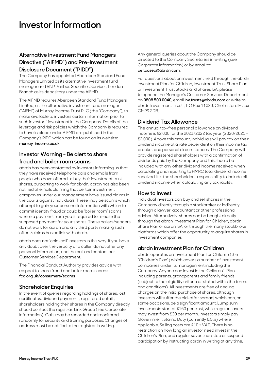## **Investor Information**

## **Alternative Investment Fund Managers Directive ("AIFMD") and Pre-Investment Disclosure Document ("PIDD")**

The Company has appointed Aberdeen Standard Fund Managers Limited as its alternative investment fund manager and BNP Paribas Securities Services, London Branch as its depositary under the AIFMD.

The AIFMD requires Aberdeen Standard Fund Managers Limited, as the alternative investment fund manager ("AIFM") of Murray Income Trust PLC (the "Company"), to make available to investors certain information prior to such investors' investment in the Company. Details of the leverage and risk policies which the Company is required to have in place under AIFMD are published in the Company's PIDD which can be found on its website: **murray-income.co.uk** 

## **Investor Warning - Be alert to share fraud and boiler room scams**

abrdn has been contacted by investors informing us that they have received telephone calls and emails from people who have offered to buy their investment trust shares, purporting to work for abrdn. abrdn has also been notified of emails claiming that certain investment companies under our management have issued claims in the courts against individuals. These may be scams which attempt to gain your personal information with which to commit identity fraud or could be 'boiler room' scams where a payment from you is required to release the supposed payment for your shares. These callers/senders do not work for abrdn and any third party making such offers/claims has no link with abrdn.

abrdn does not 'cold-call' investors in this way. If you have any doubt over the veracity of a caller, do not offer any personal information, end the call and contact our Customer Services Department.

The Financial Conduct Authority provides advice with respect to share fraud and boiler room scams: **fca.org.uk/consumers/scams** 

### **Shareholder Enquiries**

In the event of queries regarding holdings of shares, lost certificates, dividend payments, registered details, shareholders holding their shares in the Company directly should contact the registrar, Link Group (see Corporate Information). Calls may be recorded and monitored randomly for security and training purposes. Changes of address must be notified to the registrar in writing.

Any general queries about the Company should be directed to the Company Secretaries in writing (see Corporate Information) or by email to: **cef.cosec@abrdn.com.**

For questions about an investment held through the abrdn Investment Plan for Children, Investment Trust Share Plan or Investment Trust Stocks and Shares ISA, please telephone the Manager's Customer Services Department on **0808 500 0040**, email **inv.trusts@abrdn.com** or write to abrdn Investment Trusts, PO Box 11020, Chelmsford Essex CM99 2DB.

#### **Dividend Tax Allowance**

The annual tax-free personal allowance on dividend income is £2,000 for the 2021/2022 tax year (2020/2021 - £2,000). Above this amount, individuals will pay tax on their dividend income at a rate dependent on their income tax bracket and personal circumstances. The Company will provide registered shareholders with a confirmation of dividends paid by the Company and this should be included with any other dividend income received when calculating and reporting to HMRC total dividend income received. It is the shareholder's responsibility to include all dividend income when calculating any tax liability.

### **How to Invest**

Individual investors can buy and sell shares in the Company directly through a stockbroker or indirectly through a lawyer, accountant or other professional adviser. Alternatively, shares can be bought directly through the abrdn Investment Plan for Children, abrdn Share Plan or abrdn ISA, or through the many stockbroker platforms which offer the opportunity to acquire shares in investment companies

#### **abrdn Investment Plan for Children**

abrdn operates an Investment Plan for Children (the "Children's Plan") which covers a number of investment companies under its management including the Company. Anyone can invest in the Children's Plan, including parents, grandparents and family friends (subject to the eligibility criteria as stated within the terms and conditions). All investments are free of dealing charges on the initial purchase of shares, although investors will suffer the bid-offer spread, which can, on some occasions, be a significant amount. Lump sum investments start at £150 per trust, while regular savers may invest from £30 per month. Investors simply pay Government Stamp Duty (currently 0.5%) where applicable. Selling costs are £10 + VAT. There is no restriction on how long an investor need invest in the Children's Plan, and regular savers can stop or suspend participation by instructing abrdn in writing at any time.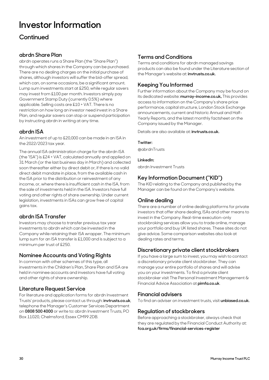## **Investor Information**

## **Continued**

## **abrdn Share Plan**

abrdn operates runs a Share Plan (the "Share Plan") through which shares in the Company can be purchased. There are no dealing charges on the initial purchase of shares, although investors will suffer the bid-offer spread, which can, on some occasions, be a significant amount. Lump sum investments start at £250, while regular savers may invest from £100 per month. Investors simply pay Government Stamp Duty (currently 0.5%) where applicable. Selling costs are £10 + VAT. There is no restriction on how long an investor need invest in a Share Plan, and regular savers can stop or suspend participation by instructing abrdn in writing at any time.

#### **abrdn ISA**

An investment of up to £20,000 can be made in an ISA in the 2022/2023 tax year.

The annual ISA administration charge for the abrdn ISA (the "ISA") is £24 + VAT, calculated annually and applied on 31 March (or the last business day in March) and collected soon thereafter either by direct debit or, if there is no valid direct debit mandate in place, from the available cash in the ISA prior to the distribution or reinvestment of any income, or, where there is insufficient cash in the ISA, from the sale of investments held in the ISA. Investors have full voting and other rights of share ownership. Under current legislation, investments in ISAs can grow free of capital gains tax.

## **abrdn ISA Transfer**

Investors may choose to transfer previous tax year investments to abrdn which can be invested in the Company while retaining their ISA wrapper. The minimum lump sum for an ISA transfer is £1,000 and is subject to a minimum per trust of £250.

### **Nominee Accounts and Voting Rights**

In common with other schemes of this type, all investments in the Children's Plan, Share Plan and ISA are held in nominee accounts and investors have full voting and other rights of share ownership.

## **Literature Request Service**

For literature and application forms for abrdn Investment Trusts' products, please contact us through: **invtrusts.co.uk**, telephone the Manager's Customer Services Department on **0808 500 4000** or write to: abrdn Investment Trusts, PO Box 11020, Chelmsford, Essex CM99 2DB.

### **Terms and Conditions**

Terms and conditions for abrdn managed savings products can also be found under the Literature section of the Manager's website at: **invtrusts.co.uk.**

## **Keeping You Informed**

Further information about the Company may be found on its dedicated website: **murray-income.co.uk.** This provides access to information on the Company's share price performance, capital structure, London Stock Exchange announcements, current and historic Annual and Half-Yearly Reports, and the latest monthly factsheet on the Company issued by the Manager.

Details are also available at: **invtrusts.co.uk.**

#### **Twitter:**

@abrdnTrusts

#### **LinkedIn:**

abrdn Investment Trusts

## **Key Information Document ("KID")**

The KID relating to the Company and published by the Manager can be found on the Company's website.

### **Online dealing**

There are a number of online dealing platforms for private investors that offer share dealing, ISAs and other means to invest in the Company. Real-time execution-only stockbroking services allow you to trade online, manage your portfolio and buy UK listed shares. These sites do not give advice. Some comparison websites also look at dealing rates and terms.

### **Discretionary private client stockbrokers**

If you have a large sum to invest, you may wish to contact a discretionary private client stockbroker. They can manage your entire portfolio of shares and will advise you on your investments. To find a private client stockbroker visit The Personal Investment Management & Financial Advice Association at **pimfa.co.uk**.

#### **Financial advisers**

To find an adviser on investment trusts, visit **unbiased.co.uk.**

#### **Regulation of stockbrokers**

Before approaching a stockbroker, always check that they are regulated by the Financial Conduct Authority at: **fca.org.uk/firms/financial-services-register**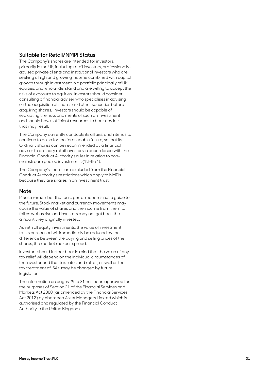#### **Suitable for Retail/NMPI Status**

The Company's shares are intended for investors, primarily in the UK, including retail investors, professionallyadvised private clients and institutional investors who are seeking a high and growing income combined with capital growth through investment in a portfolio principally of UK equities, and who understand and are willing to accept the risks of exposure to equities. Investors should consider consulting a financial adviser who specialises in advising on the acquisition of shares and other securities before acquiring shares. Investors should be capable of evaluating the risks and merits of such an investment and should have sufficient resources to bear any loss that may result.

The Company currently conducts its affairs, and intends to continue to do so for the foreseeable future, so that its Ordinary shares can be recommended by a financial adviser to ordinary retail investors in accordance with the Financial Conduct Authority's rules in relation to nonmainstream pooled investments ("NMPIs").

The Company's shares are excluded from the Financial Conduct Authority's restrictions which apply to NMPIs because they are shares in an investment trust.

#### **Note**

Please remember that past performance is not a guide to the future. Stock market and currency movements may cause the value of shares and the income from them to fall as well as rise and investors may not get back the amount they originally invested.

As with all equity investments, the value of investment trusts purchased will immediately be reduced by the difference between the buying and selling prices of the shares, the market maker's spread.

Investors should further bear in mind that the value of any tax relief will depend on the individual circumstances of the investor and that tax rates and reliefs, as well as the tax treatment of ISAs, may be changed by future legislation.

The information on pages 29 to 31 has been approved for the purposes of Section 21 of the Financial Services and Markets Act 2000 (as amended by the Financial Services Act 2012) by Aberdeen Asset Managers Limited which is authorised and regulated by the Financial Conduct Authority in the United Kingdom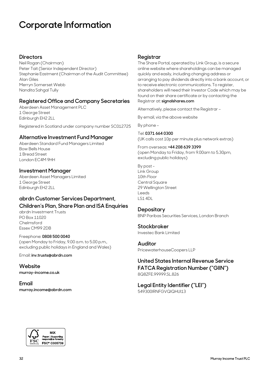## **Corporate Information**

#### **Directors**

Neil Rogan (Chairman) Peter Tait (Senior Independent Director) Stephanie Eastment (Chairman of the Audit Committee) Alan Giles Merryn Somerset Webb Nandita Sahgal Tully

### **Registered Office and Company Secretaries**

Aberdeen Asset Management PLC 1 George Street Edinburgh EH2 2LL

Registered in Scotland under company number SC012725

#### **Alternative Investment Fund Manager**

Aberdeen Standard Fund Managers Limited Bow Bells House 1 Bread Street London EC4M 9HH

#### **Investment Manager**

Aberdeen Asset Managers Limited 1 George Street Edinburgh EH2 2LL

## **abrdn Customer Services Department, Children's Plan, Share Plan and ISA Enquiries**

abrdn Investment Trusts PO Box 11020 Chelmsford Essex CM99 2DB

#### Freephone: **0808 500 0040**

(open Monday to Friday, 9.00 a.m. to 5.00 p.m., excluding public holidays in England and Wales)

#### Email: **inv.trusts@abrdn.com**

**Website murray-income.co.uk** 

**Email murray.income@abrdn.com** 

### **Registrar**

The Share Portal, operated by Link Group, is a secure online website where shareholdings can be managed quickly and easily, including changing address or arranging to pay dividends directly into a bank account, or to receive electronic communications. To register, shareholders will need their Investor Code which may be found on their share certificate or by contacting the Registrar at: **signalshares.com**

Alternatively, please contact the Registrar –

By email, via the above website

By phone –

#### Tel: **0371 664 0300** (UK calls cost 10p per minute plus network extras)

From overseas: **+44 208 639 3399** (open Monday to Friday, from 9.00am to 5.30pm, excluding public holidays)

By post - Link Group 10th Floor Central Square 29 Wellington Street Leeds LS1 4DL

#### **Depositary**

BNP Paribas Securities Services, London Branch

#### **Stockbroker**

Investec Bank Limited

#### **Auditor**

PricewaterhouseCoopers LLP

## **United States Internal Revenue Service**

**FATCA Registration Number ("GIIN")**  8Q8ZFE.99999.SL.826

## **Legal Entity Identifier ("LEI")**

549300IRNFGVQIQHUI13

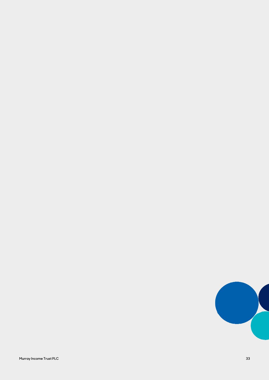